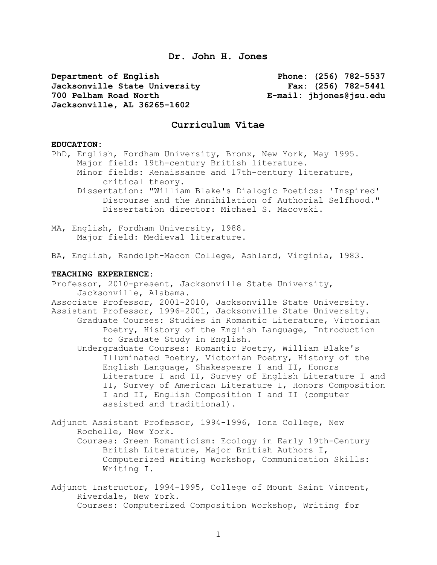**Dr. John H. Jones**

**Department of English Phone: (256) 782-5537 Jacksonville State University Fax: (256) 782-5441 700 Pelham Road North E-mail: jhjones@jsu.edu Jacksonville, AL 36265-1602**

# **Curriculum Vitae**

#### **EDUCATION:**

PhD, English, Fordham University, Bronx, New York, May 1995. Major field: 19th-century British literature. Minor fields: Renaissance and 17th-century literature, critical theory. Dissertation: "William Blake's Dialogic Poetics: 'Inspired' Discourse and the Annihilation of Authorial Selfhood." Dissertation director: Michael S. Macovski.

MA, English, Fordham University, 1988. Major field: Medieval literature.

BA, English, Randolph-Macon College, Ashland, Virginia, 1983.

#### **TEACHING EXPERIENCE:**

Professor, 2010-present, Jacksonville State University, Jacksonville, Alabama.

Associate Professor, 2001-2010, Jacksonville State University. Assistant Professor, 1996-2001, Jacksonville State University. Graduate Courses: Studies in Romantic Literature, Victorian Poetry, History of the English Language, Introduction to Graduate Study in English.

Undergraduate Courses: Romantic Poetry, William Blake's Illuminated Poetry, Victorian Poetry, History of the English Language, Shakespeare I and II, Honors Literature I and II, Survey of English Literature I and II, Survey of American Literature I, Honors Composition I and II, English Composition I and II (computer assisted and traditional).

Adjunct Assistant Professor, 1994-1996, Iona College, New Rochelle, New York. Courses: Green Romanticism: Ecology in Early 19th-Century

British Literature, Major British Authors I, Computerized Writing Workshop, Communication Skills: Writing I.

Adjunct Instructor, 1994-1995, College of Mount Saint Vincent, Riverdale, New York. Courses: Computerized Composition Workshop, Writing for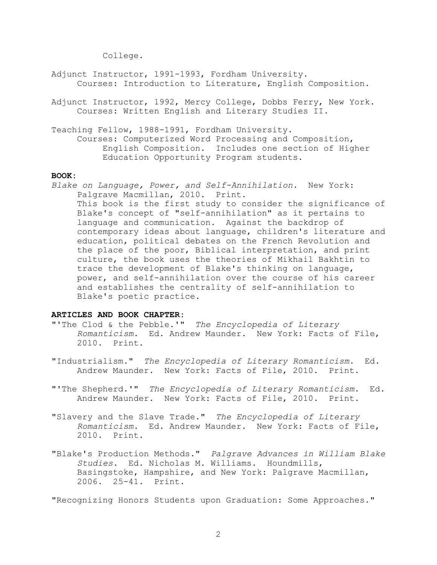College.

- Adjunct Instructor, 1991-1993, Fordham University. Courses: Introduction to Literature, English Composition.
- Adjunct Instructor, 1992, Mercy College, Dobbs Ferry, New York. Courses: Written English and Literary Studies II.

Teaching Fellow, 1988-1991, Fordham University.

Courses: Computerized Word Processing and Composition, English Composition. Includes one section of Higher Education Opportunity Program students.

# **BOOK:**

*Blake on Language, Power, and Self-Annihilation*. New York: Palgrave Macmillan, 2010. Print.

This book is the first study to consider the significance of Blake's concept of "self-annihilation" as it pertains to language and communication. Against the backdrop of contemporary ideas about language, children's literature and education, political debates on the French Revolution and the place of the poor, Biblical interpretation, and print culture, the book uses the theories of Mikhail Bakhtin to trace the development of Blake's thinking on language, power, and self-annihilation over the course of his career and establishes the centrality of self-annihilation to Blake's poetic practice.

# **ARTICLES AND BOOK CHAPTER:**

- "'The Clod & the Pebble.'" *The Encyclopedia of Literary Romanticism*. Ed. Andrew Maunder. New York: Facts of File, 2010. Print.
- "Industrialism." *The Encyclopedia of Literary Romanticism*. Ed. Andrew Maunder. New York: Facts of File, 2010. Print.
- "'The Shepherd.'" *The Encyclopedia of Literary Romanticism*. Ed. Andrew Maunder. New York: Facts of File, 2010. Print.
- "Slavery and the Slave Trade." *The Encyclopedia of Literary Romanticism*. Ed. Andrew Maunder. New York: Facts of File, 2010. Print.
- "Blake's Production Methods." *Palgrave Advances in William Blake Studies*. Ed. Nicholas M. Williams. Houndmills, Basingstoke, Hampshire, and New York: Palgrave Macmillan, 2006. 25-41. Print.

"Recognizing Honors Students upon Graduation: Some Approaches."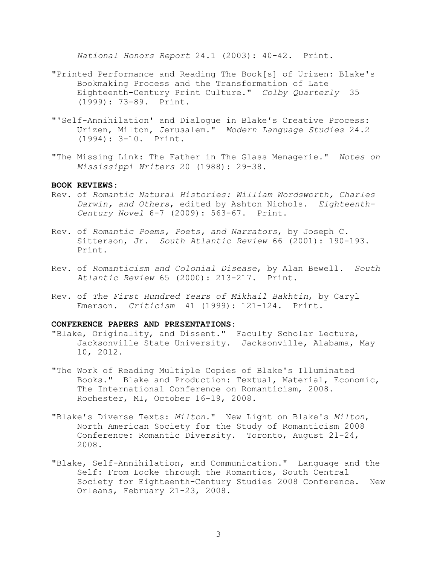*National Honors Report* 24.1 (2003): 40-42. Print.

- "Printed Performance and Reading The Book[s] of Urizen: Blake's Bookmaking Process and the Transformation of Late Eighteenth-Century Print Culture." *Colby Quarterly* 35 (1999): 73-89. Print.
- "'Self-Annihilation' and Dialogue in Blake's Creative Process: Urizen, Milton, Jerusalem." *Modern Language Studies* 24.2 (1994): 3-10. Print.
- "The Missing Link: The Father in The Glass Menagerie." *Notes on Mississippi Writers* 20 (1988): 29-38.

## **BOOK REVIEWS:**

- Rev. of *Romantic Natural Histories: William Wordsworth, Charles Darwin, and Others*, edited by Ashton Nichols. *Eighteenth-Century Novel* 6-7 (2009): 563-67. Print.
- Rev. of *Romantic Poems, Poets, and Narrators*, by Joseph C. Sitterson, Jr. *South Atlantic Review* 66 (2001): 190-193. Print.
- Rev. of *Romanticism and Colonial Disease*, by Alan Bewell. *South Atlantic Review* 65 (2000): 213-217. Print.
- Rev. of *The First Hundred Years of Mikhail Bakhtin*, by Caryl Emerson. *Criticism* 41 (1999): 121-124. Print.

#### **CONFERENCE PAPERS AND PRESENTATIONS:**

- "Blake, Originality, and Dissent." Faculty Scholar Lecture, Jacksonville State University. Jacksonville, Alabama, May 10, 2012.
- "The Work of Reading Multiple Copies of Blake's Illuminated Books." Blake and Production: Textual, Material, Economic, The International Conference on Romanticism, 2008. Rochester, MI, October 16-19, 2008.
- "Blake's Diverse Texts: *Milton*." New Light on Blake's *Milton*, North American Society for the Study of Romanticism 2008 Conference: Romantic Diversity. Toronto, August 21-24, 2008.
- "Blake, Self-Annihilation, and Communication." Language and the Self: From Locke through the Romantics, South Central Society for Eighteenth-Century Studies 2008 Conference. New Orleans, February 21-23, 2008.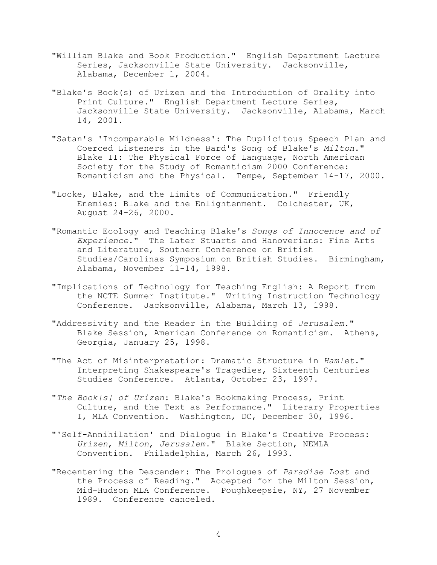- "William Blake and Book Production." English Department Lecture Series, Jacksonville State University. Jacksonville, Alabama, December 1, 2004.
- "Blake's Book(s) of Urizen and the Introduction of Orality into Print Culture." English Department Lecture Series, Jacksonville State University. Jacksonville, Alabama, March 14, 2001.
- "Satan's 'Incomparable Mildness': The Duplicitous Speech Plan and Coerced Listeners in the Bard's Song of Blake's *Milton*." Blake II: The Physical Force of Language, North American Society for the Study of Romanticism 2000 Conference: Romanticism and the Physical. Tempe, September 14-17, 2000.
- "Locke, Blake, and the Limits of Communication." Friendly Enemies: Blake and the Enlightenment. Colchester, UK, August 24-26, 2000.
- "Romantic Ecology and Teaching Blake's *Songs of Innocence and of Experience*." The Later Stuarts and Hanoverians: Fine Arts and Literature, Southern Conference on British Studies/Carolinas Symposium on British Studies. Birmingham, Alabama, November 11-14, 1998.
- "Implications of Technology for Teaching English: A Report from the NCTE Summer Institute." Writing Instruction Technology Conference. Jacksonville, Alabama, March 13, 1998.
- "Addressivity and the Reader in the Building of *Jerusalem*." Blake Session, American Conference on Romanticism. Athens, Georgia, January 25, 1998.
- "The Act of Misinterpretation: Dramatic Structure in *Hamlet*." Interpreting Shakespeare's Tragedies, Sixteenth Centuries Studies Conference. Atlanta, October 23, 1997.
- "*The Book[s] of Urizen*: Blake's Bookmaking Process, Print Culture, and the Text as Performance." Literary Properties I, MLA Convention. Washington, DC, December 30, 1996.
- "'Self-Annihilation' and Dialogue in Blake's Creative Process: *Urizen*, *Milton*, *Jerusalem*." Blake Section, NEMLA Convention. Philadelphia, March 26, 1993.
- "Recentering the Descender: The Prologues of *Paradise Lost* and the Process of Reading." Accepted for the Milton Session, Mid-Hudson MLA Conference. Poughkeepsie, NY, 27 November 1989. Conference canceled.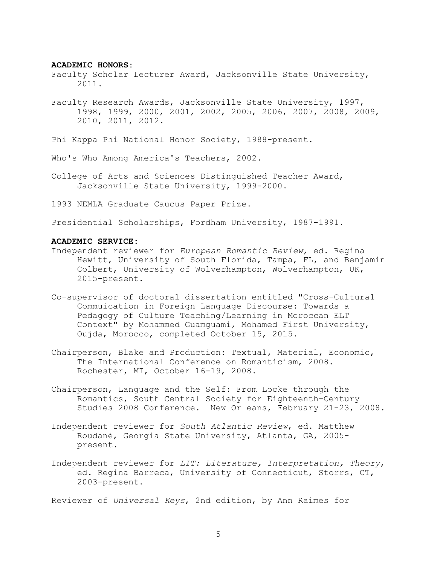#### **ACADEMIC HONORS:**

- Faculty Scholar Lecturer Award, Jacksonville State University, 2011.
- Faculty Research Awards, Jacksonville State University, 1997, 1998, 1999, 2000, 2001, 2002, 2005, 2006, 2007, 2008, 2009, 2010, 2011, 2012.
- Phi Kappa Phi National Honor Society, 1988-present.
- Who's Who Among America's Teachers, 2002.
- College of Arts and Sciences Distinguished Teacher Award, Jacksonville State University, 1999-2000.
- 1993 NEMLA Graduate Caucus Paper Prize.

Presidential Scholarships, Fordham University, 1987-1991.

#### **ACADEMIC SERVICE:**

- Independent reviewer for *European Romantic Review*, ed. Regina Hewitt, University of South Florida, Tampa, FL, and Benjamin Colbert, University of Wolverhampton, Wolverhampton, UK, 2015-present.
- Co-supervisor of doctoral dissertation entitled "Cross-Cultural Commuication in Foreign Language Discourse: Towards a Pedagogy of Culture Teaching/Learning in Moroccan ELT Context" by Mohammed Guamguami, Mohamed First University, Oujda, Morocco, completed October 15, 2015.
- Chairperson, Blake and Production: Textual, Material, Economic, The International Conference on Romanticism, 2008. Rochester, MI, October 16-19, 2008.
- Chairperson, Language and the Self: From Locke through the Romantics, South Central Society for Eighteenth-Century Studies 2008 Conference. New Orleans, February 21-23, 2008.
- Independent reviewer for *South Atlantic Review*, ed. Matthew Roudané, Georgia State University, Atlanta, GA, 2005 present.
- Independent reviewer for *LIT: Literature, Interpretation, Theory*, ed. Regina Barreca, University of Connecticut, Storrs, CT, 2003-present.

Reviewer of *Universal Keys*, 2nd edition, by Ann Raimes for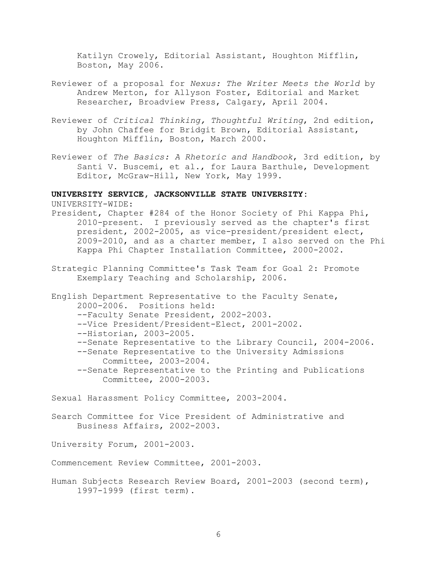Katilyn Crowely, Editorial Assistant, Houghton Mifflin, Boston, May 2006.

- Reviewer of a proposal for *Nexus: The Writer Meets the World* by Andrew Merton, for Allyson Foster, Editorial and Market Researcher, Broadview Press, Calgary, April 2004.
- Reviewer of *Critical Thinking, Thoughtful Writing*, 2nd edition, by John Chaffee for Bridgit Brown, Editorial Assistant, Houghton Mifflin, Boston, March 2000.
- Reviewer of *The Basics: A Rhetoric and Handbook*, 3rd edition, by Santi V. Buscemi, et al., for Laura Barthule, Development Editor, McGraw-Hill, New York, May 1999.

#### **UNIVERSITY SERVICE, JACKSONVILLE STATE UNIVERSITY:**

UNIVERSITY-WIDE:

- President, Chapter #284 of the Honor Society of Phi Kappa Phi, 2010-present. I previously served as the chapter's first president, 2002-2005, as vice-president/president elect, 2009-2010, and as a charter member, I also served on the Phi Kappa Phi Chapter Installation Committee, 2000-2002.
- Strategic Planning Committee's Task Team for Goal 2: Promote Exemplary Teaching and Scholarship, 2006.

English Department Representative to the Faculty Senate, 2000-2006. Positions held: --Faculty Senate President, 2002-2003. --Vice President/President-Elect, 2001-2002. --Historian, 2003-2005. --Senate Representative to the Library Council, 2004-2006. --Senate Representative to the University Admissions Committee, 2003-2004. --Senate Representative to the Printing and Publications Committee, 2000-2003.

Sexual Harassment Policy Committee, 2003-2004.

Search Committee for Vice President of Administrative and Business Affairs, 2002-2003.

University Forum, 2001-2003.

Commencement Review Committee, 2001-2003.

Human Subjects Research Review Board, 2001-2003 (second term), 1997-1999 (first term).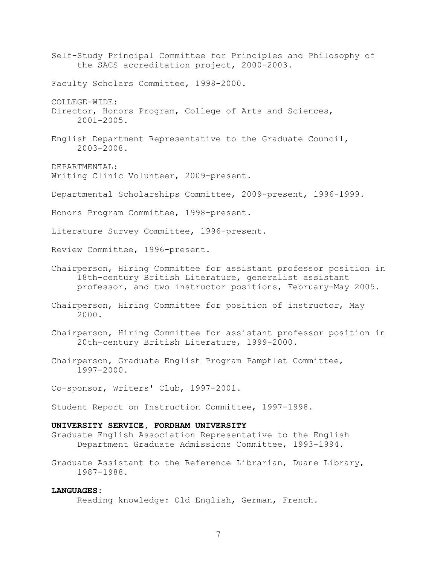Self-Study Principal Committee for Principles and Philosophy of the SACS accreditation project, 2000-2003. Faculty Scholars Committee, 1998-2000. COLLEGE-WIDE: Director, Honors Program, College of Arts and Sciences, 2001-2005. English Department Representative to the Graduate Council, 2003-2008. DEPARTMENTAL: Writing Clinic Volunteer, 2009-present. Departmental Scholarships Committee, 2009-present, 1996-1999. Honors Program Committee, 1998-present. Literature Survey Committee, 1996-present. Review Committee, 1996-present. Chairperson, Hiring Committee for assistant professor position in 18th-century British Literature, generalist assistant professor, and two instructor positions, February-May 2005. Chairperson, Hiring Committee for position of instructor, May 2000. Chairperson, Hiring Committee for assistant professor position in 20th-century British Literature, 1999-2000. Chairperson, Graduate English Program Pamphlet Committee, 1997-2000.

Co-sponsor, Writers' Club, 1997-2001.

Student Report on Instruction Committee, 1997-1998.

## **UNIVERSITY SERVICE, FORDHAM UNIVERSITY**

Graduate English Association Representative to the English Department Graduate Admissions Committee, 1993-1994.

Graduate Assistant to the Reference Librarian, Duane Library, 1987-1988.

### **LANGUAGES:**

Reading knowledge: Old English, German, French.